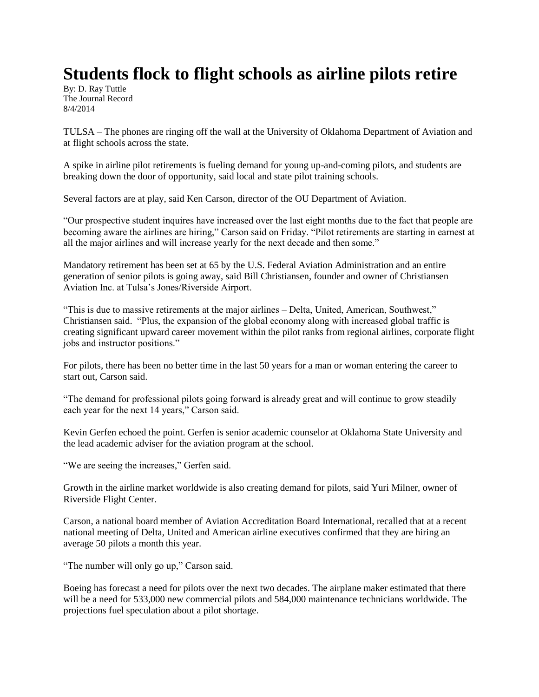## **Students flock to flight schools as airline pilots retire**

By: D. Ray Tuttle The Journal Record 8/4/2014

TULSA – The phones are ringing off the wall at the University of Oklahoma Department of Aviation and at flight schools across the state.

A spike in airline pilot retirements is fueling demand for young up-and-coming pilots, and students are breaking down the door of opportunity, said local and state pilot training schools.

Several factors are at play, said Ken Carson, director of the OU Department of Aviation.

"Our prospective student inquires have increased over the last eight months due to the fact that people are becoming aware the airlines are hiring," Carson said on Friday. "Pilot retirements are starting in earnest at all the major airlines and will increase yearly for the next decade and then some."

Mandatory retirement has been set at 65 by the U.S. Federal Aviation Administration and an entire generation of senior pilots is going away, said Bill Christiansen, founder and owner of Christiansen Aviation Inc. at Tulsa's Jones/Riverside Airport.

"This is due to massive retirements at the major airlines – Delta, United, American, Southwest," Christiansen said. "Plus, the expansion of the global economy along with increased global traffic is creating significant upward career movement within the pilot ranks from regional airlines, corporate flight jobs and instructor positions."

For pilots, there has been no better time in the last 50 years for a man or woman entering the career to start out, Carson said.

"The demand for professional pilots going forward is already great and will continue to grow steadily each year for the next 14 years," Carson said.

Kevin Gerfen echoed the point. Gerfen is senior academic counselor at Oklahoma State University and the lead academic adviser for the aviation program at the school.

"We are seeing the increases," Gerfen said.

Growth in the airline market worldwide is also creating demand for pilots, said Yuri Milner, owner of Riverside Flight Center.

Carson, a national board member of Aviation Accreditation Board International, recalled that at a recent national meeting of Delta, United and American airline executives confirmed that they are hiring an average 50 pilots a month this year.

"The number will only go up," Carson said.

Boeing has forecast a need for pilots over the next two decades. The airplane maker estimated that there will be a need for 533,000 new commercial pilots and 584,000 maintenance technicians worldwide. The projections fuel speculation about a pilot shortage.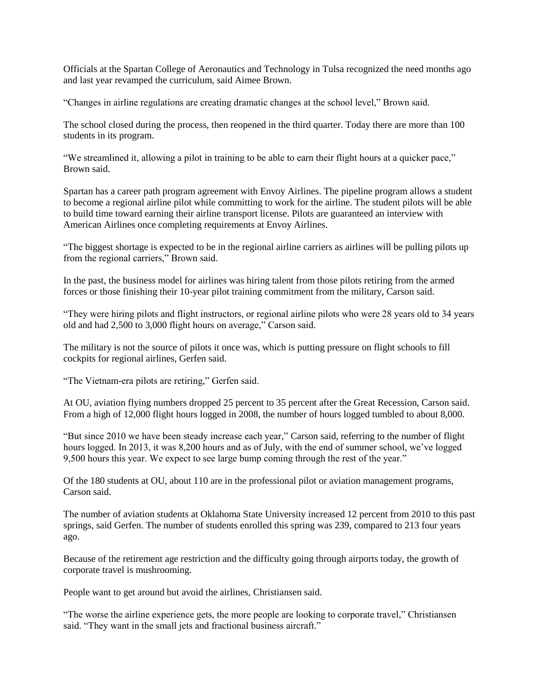Officials at the Spartan College of Aeronautics and Technology in Tulsa recognized the need months ago and last year revamped the curriculum, said Aimee Brown.

"Changes in airline regulations are creating dramatic changes at the school level," Brown said.

The school closed during the process, then reopened in the third quarter. Today there are more than 100 students in its program.

"We streamlined it, allowing a pilot in training to be able to earn their flight hours at a quicker pace," Brown said.

Spartan has a career path program agreement with Envoy Airlines. The pipeline program allows a student to become a regional airline pilot while committing to work for the airline. The student pilots will be able to build time toward earning their airline transport license. Pilots are guaranteed an interview with American Airlines once completing requirements at Envoy Airlines.

"The biggest shortage is expected to be in the regional airline carriers as airlines will be pulling pilots up from the regional carriers," Brown said.

In the past, the business model for airlines was hiring talent from those pilots retiring from the armed forces or those finishing their 10-year pilot training commitment from the military, Carson said.

"They were hiring pilots and flight instructors, or regional airline pilots who were 28 years old to 34 years old and had 2,500 to 3,000 flight hours on average," Carson said.

The military is not the source of pilots it once was, which is putting pressure on flight schools to fill cockpits for regional airlines, Gerfen said.

"The Vietnam-era pilots are retiring," Gerfen said.

At OU, aviation flying numbers dropped 25 percent to 35 percent after the Great Recession, Carson said. From a high of 12,000 flight hours logged in 2008, the number of hours logged tumbled to about 8,000.

"But since 2010 we have been steady increase each year," Carson said, referring to the number of flight hours logged. In 2013, it was 8,200 hours and as of July, with the end of summer school, we've logged 9,500 hours this year. We expect to see large bump coming through the rest of the year."

Of the 180 students at OU, about 110 are in the professional pilot or aviation management programs, Carson said.

The number of aviation students at Oklahoma State University increased 12 percent from 2010 to this past springs, said Gerfen. The number of students enrolled this spring was 239, compared to 213 four years ago.

Because of the retirement age restriction and the difficulty going through airports today, the growth of corporate travel is mushrooming.

People want to get around but avoid the airlines, Christiansen said.

"The worse the airline experience gets, the more people are looking to corporate travel," Christiansen said. "They want in the small jets and fractional business aircraft."